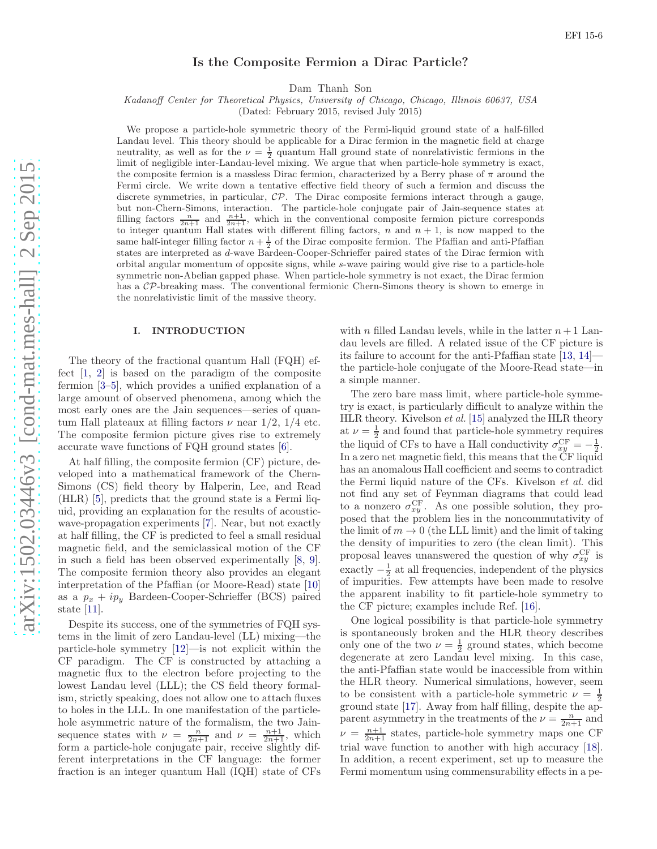# Is the Composite Fermion a Dirac Particle?

Dam Thanh Son

Kadanoff Center for Theoretical Physics, University of Chicago, Chicago, Illinois 60637, USA

(Dated: February 2015, revised July 2015)

We propose a particle-hole symmetric theory of the Fermi-liquid ground state of a half-filled Landau level. This theory should be applicable for a Dirac fermion in the magnetic field at charge neutrality, as well as for the  $\nu = \frac{1}{2}$  quantum Hall ground state of nonrelativistic fermions in the limit of negligible inter-Landau-level mixing. We argue that when particle-hole symmetry is exact, the composite fermion is a massless Dirac fermion, characterized by a Berry phase of  $\pi$  around the Fermi circle. We write down a tentative effective field theory of such a fermion and discuss the discrete symmetries, in particular,  $\mathcal{CP}$ . The Dirac composite fermions interact through a gauge, but non-Chern-Simons, interaction. The particle-hole conjugate pair of Jain-sequence states at filling factors  $\frac{n}{2n+1}$  and  $\frac{n+1}{2n+1}$ , which in the conventional composite fermion picture corresponds to integer quantum Hall states with different filling factors,  $n$  and  $n + 1$ , is now mapped to the same half-integer filling factor  $n + \frac{1}{2}$  of the Dirac composite fermion. The Pfaffian and anti-Pfaffian states are interpreted as d-wave Bardeen-Cooper-Schrieffer paired states of the Dirac fermion with orbital angular momentum of opposite signs, while s-wave pairing would give rise to a particle-hole symmetric non-Abelian gapped phase. When particle-hole symmetry is not exact, the Dirac fermion has a CP-breaking mass. The conventional fermionic Chern-Simons theory is shown to emerge in the nonrelativistic limit of the massive theory.

### I. INTRODUCTION

The theory of the fractional quantum Hall (FQH) effect [\[1](#page-11-0), [2](#page-11-1)] is based on the paradigm of the composite fermion [\[3](#page-11-2)[–5](#page-11-3)], which provides a unified explanation of a large amount of observed phenomena, among which the most early ones are the Jain sequences—series of quantum Hall plateaux at filling factors  $\nu$  near 1/2, 1/4 etc. The composite fermion picture gives rise to extremely accurate wave functions of FQH ground states [\[6](#page-11-4)].

At half filling, the composite fermion (CF) picture, developed into a mathematical framework of the Chern-Simons (CS) field theory by Halperin, Lee, and Read (HLR) [\[5\]](#page-11-3), predicts that the ground state is a Fermi liquid, providing an explanation for the results of acousticwave-propagation experiments [\[7](#page-11-5)]. Near, but not exactly at half filling, the CF is predicted to feel a small residual magnetic field, and the semiclassical motion of the CF in such a field has been observed experimentally [\[8,](#page-11-6) [9\]](#page-11-7). The composite fermion theory also provides an elegant interpretation of the Pfaffian (or Moore-Read) state [\[10](#page-11-8)] as a  $p_x + ip_y$  Bardeen-Cooper-Schrieffer (BCS) paired state [\[11](#page-11-9)].

Despite its success, one of the symmetries of FQH systems in the limit of zero Landau-level (LL) mixing—the particle-hole symmetry [\[12](#page-11-10)]—is not explicit within the CF paradigm. The CF is constructed by attaching a magnetic flux to the electron before projecting to the lowest Landau level (LLL); the CS field theory formalism, strictly speaking, does not allow one to attach fluxes to holes in the LLL. In one manifestation of the particlehole asymmetric nature of the formalism, the two Jainsequence states with  $\nu = \frac{n}{2n+1}$  and  $\nu = \frac{n+1}{2n+1}$ , which form a particle-hole conjugate pair, receive slightly different interpretations in the CF language: the former fraction is an integer quantum Hall (IQH) state of CFs

with n filled Landau levels, while in the latter  $n+1$  Landau levels are filled. A related issue of the CF picture is its failure to account for the anti-Pfaffian state [\[13,](#page-11-11) [14](#page-11-12)] the particle-hole conjugate of the Moore-Read state—in a simple manner.

The zero bare mass limit, where particle-hole symmetry is exact, is particularly difficult to analyze within the HLR theory. Kivelson *et al.* [\[15\]](#page-11-13) analyzed the HLR theory at  $\nu = \frac{1}{2}$  and found that particle-hole symmetry requires at  $\nu = \frac{1}{2}$  and found that particle-hole symmetry requires<br>the liquid of CFs to have a Hall conductivity  $\sigma_{xy}^{\rm CF} = -\frac{1}{2}$ . In a zero net magnetic field, this means that the CF liquid has an anomalous Hall coefficient and seems to contradict the Fermi liquid nature of the CFs. Kivelson *et al.* did not find any set of Feynman diagrams that could lead to a nonzero  $\sigma_{xy}^{\text{CF}}$ . As one possible solution, they proposed that the problem lies in the noncommutativity of the limit of  $m \to 0$  (the LLL limit) and the limit of taking the density of impurities to zero (the clean limit). This proposal leaves unanswered the question of why  $\sigma_{xy}^{\text{CF}}$  is exactly  $-\frac{1}{2}$  at all frequencies, independent of the physics of impurities. Few attempts have been made to resolve the apparent inability to fit particle-hole symmetry to the CF picture; examples include Ref. [\[16\]](#page-11-14).

One logical possibility is that particle-hole symmetry is spontaneously broken and the HLR theory describes only one of the two  $\nu = \frac{1}{2}$  ground states, which become degenerate at zero Landau level mixing. In this case, the anti-Pfaffian state would be inaccessible from within the HLR theory. Numerical simulations, however, seem to be consistent with a particle-hole symmetric  $\nu = \frac{1}{2}$ ground state [\[17\]](#page-11-15). Away from half filling, despite the apparent asymmetry in the treatments of the  $\nu = \frac{n}{2n+1}$  and  $\nu = \frac{n+1}{2n+1}$  states, particle-hole symmetry maps one CF trial wave function to another with high accuracy [\[18\]](#page-11-16). In addition, a recent experiment, set up to measure the Fermi momentum using commensurability effects in a pe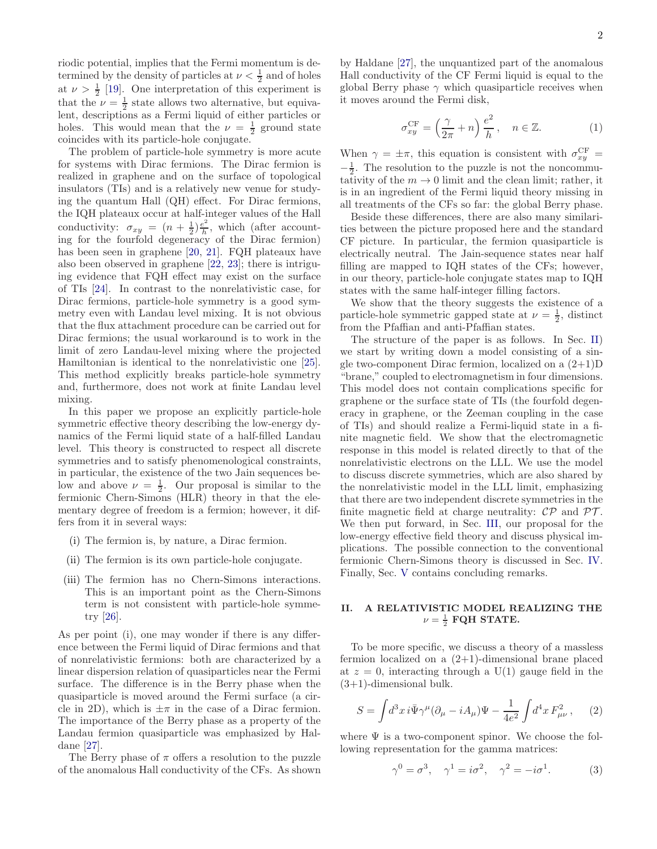riodic potential, implies that the Fermi momentum is determined by the density of particles at  $\nu < \frac{1}{2}$  and of holes at  $\nu > \frac{1}{2}$  [\[19\]](#page-11-17). One interpretation of this experiment is that the  $\nu = \frac{1}{2}$  state allows two alternative, but equivalent, descriptions as a Fermi liquid of either particles or holes. This would mean that the  $\nu = \frac{1}{2}$  ground state coincides with its particle-hole conjugate.

The problem of particle-hole symmetry is more acute for systems with Dirac fermions. The Dirac fermion is realized in graphene and on the surface of topological insulators (TIs) and is a relatively new venue for studying the quantum Hall (QH) effect. For Dirac fermions, the IQH plateaux occur at half-integer values of the Hall conductivity:  $\sigma_{xy} = (n + \frac{1}{2})\frac{e^2}{h}$  $\frac{e^2}{h}$ , which (after accounting for the fourfold degeneracy of the Dirac fermion) has been seen in graphene [\[20,](#page-11-18) [21](#page-11-19)]. FQH plateaux have also been observed in graphene [\[22,](#page-11-20) [23](#page-11-21)]; there is intriguing evidence that FQH effect may exist on the surface of TIs [\[24](#page-11-22)]. In contrast to the nonrelativistic case, for Dirac fermions, particle-hole symmetry is a good symmetry even with Landau level mixing. It is not obvious that the flux attachment procedure can be carried out for Dirac fermions; the usual workaround is to work in the limit of zero Landau-level mixing where the projected Hamiltonian is identical to the nonrelativistic one [\[25\]](#page-11-23). This method explicitly breaks particle-hole symmetry and, furthermore, does not work at finite Landau level mixing.

In this paper we propose an explicitly particle-hole symmetric effective theory describing the low-energy dynamics of the Fermi liquid state of a half-filled Landau level. This theory is constructed to respect all discrete symmetries and to satisfy phenomenological constraints, in particular, the existence of the two Jain sequences below and above  $\nu = \frac{1}{2}$ . Our proposal is similar to the fermionic Chern-Simons (HLR) theory in that the elementary degree of freedom is a fermion; however, it differs from it in several ways:

- (i) The fermion is, by nature, a Dirac fermion.
- (ii) The fermion is its own particle-hole conjugate.
- (iii) The fermion has no Chern-Simons interactions. This is an important point as the Chern-Simons term is not consistent with particle-hole symmetry [\[26](#page-11-24)].

As per point (i), one may wonder if there is any difference between the Fermi liquid of Dirac fermions and that of nonrelativistic fermions: both are characterized by a linear dispersion relation of quasiparticles near the Fermi surface. The difference is in the Berry phase when the quasiparticle is moved around the Fermi surface (a circle in 2D), which is  $\pm \pi$  in the case of a Dirac fermion. The importance of the Berry phase as a property of the Landau fermion quasiparticle was emphasized by Haldane [\[27\]](#page-11-25).

The Berry phase of  $\pi$  offers a resolution to the puzzle of the anomalous Hall conductivity of the CFs. As shown

by Haldane [\[27\]](#page-11-25), the unquantized part of the anomalous Hall conductivity of the CF Fermi liquid is equal to the global Berry phase  $\gamma$  which quasiparticle receives when it moves around the Fermi disk,

$$
\sigma_{xy}^{\rm CF} = \left(\frac{\gamma}{2\pi} + n\right) \frac{e^2}{h}, \quad n \in \mathbb{Z}.
$$
 (1)

When  $\gamma = \pm \pi$ , this equation is consistent with  $\sigma_{xy}^{\text{CF}} =$  $-\frac{1}{2}$ . The resolution to the puzzle is not the noncommutativity of the  $m \to 0$  limit and the clean limit; rather, it is in an ingredient of the Fermi liquid theory missing in all treatments of the CFs so far: the global Berry phase.

Beside these differences, there are also many similarities between the picture proposed here and the standard CF picture. In particular, the fermion quasiparticle is electrically neutral. The Jain-sequence states near half filling are mapped to IQH states of the CFs; however, in our theory, particle-hole conjugate states map to IQH states with the same half-integer filling factors.

We show that the theory suggests the existence of a particle-hole symmetric gapped state at  $\nu = \frac{1}{2}$ , distinct from the Pfaffian and anti-Pfaffian states.

The structure of the paper is as follows. In Sec. [II\)](#page-1-0) we start by writing down a model consisting of a single two-component Dirac fermion, localized on a  $(2+1)D$ "brane," coupled to electromagnetism in four dimensions. This model does not contain complications specific for graphene or the surface state of TIs (the fourfold degeneracy in graphene, or the Zeeman coupling in the case of TIs) and should realize a Fermi-liquid state in a finite magnetic field. We show that the electromagnetic response in this model is related directly to that of the nonrelativistic electrons on the LLL. We use the model to discuss discrete symmetries, which are also shared by the nonrelativistic model in the LLL limit, emphasizing that there are two independent discrete symmetries in the finite magnetic field at charge neutrality:  $\mathcal{CP}$  and  $\mathcal{PT}$ . We then put forward, in Sec. [III,](#page-5-0) our proposal for the low-energy effective field theory and discuss physical implications. The possible connection to the conventional fermionic Chern-Simons theory is discussed in Sec. [IV.](#page-8-0) Finally, Sec. [V](#page-9-0) contains concluding remarks.

# <span id="page-1-0"></span>II. A RELATIVISTIC MODEL REALIZING THE  $\nu = \frac{1}{2}$  FQH STATE.

To be more specific, we discuss a theory of a massless fermion localized on a  $(2+1)$ -dimensional brane placed at  $z = 0$ , interacting through a U(1) gauge field in the  $(3+1)$ -dimensional bulk.

<span id="page-1-1"></span>
$$
S = \int d^3x \, i \bar{\Psi} \gamma^{\mu} (\partial_{\mu} - iA_{\mu}) \Psi - \frac{1}{4e^2} \int d^4x \, F_{\mu\nu}^2 \,, \tag{2}
$$

where  $\Psi$  is a two-component spinor. We choose the following representation for the gamma matrices:

$$
\gamma^0 = \sigma^3, \quad \gamma^1 = i\sigma^2, \quad \gamma^2 = -i\sigma^1. \tag{3}
$$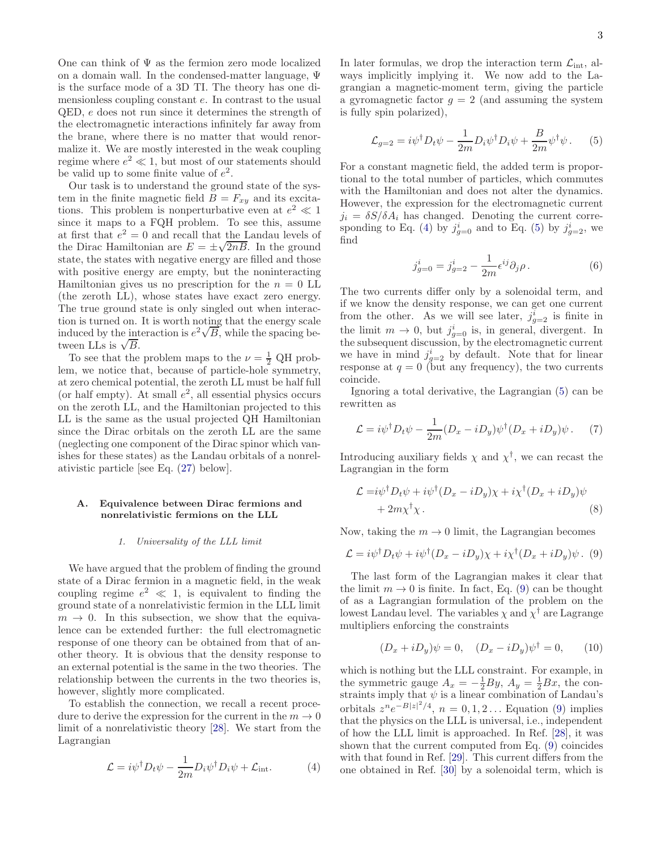One can think of  $\Psi$  as the fermion zero mode localized on a domain wall. In the condensed-matter language, Ψ is the surface mode of a 3D TI. The theory has one dimensionless coupling constant e. In contrast to the usual QED, e does not run since it determines the strength of the electromagnetic interactions infinitely far away from the brane, where there is no matter that would renormalize it. We are mostly interested in the weak coupling regime where  $e^2 \ll 1$ , but most of our statements should be valid up to some finite value of  $e^2$ .

Our task is to understand the ground state of the system in the finite magnetic field  $B = F_{xy}$  and its excitations. This problem is nonperturbative even at  $e^2 \ll 1$ since it maps to a FQH problem. To see this, assume at first that  $e^2 = 0$  and recall that the Landau levels of the Dirac Hamiltonian are  $E = \pm \sqrt{2nB}$ . In the ground state, the states with negative energy are filled and those with positive energy are empty, but the noninteracting Hamiltonian gives us no prescription for the  $n = 0$  LL (the zeroth LL), whose states have exact zero energy. The true ground state is only singled out when interaction is turned on. It is worth noting that the energy scale induced by the interaction is  $e^2\sqrt{B}$ , while the spacing between LLs is  $\sqrt{B}$ .

To see that the problem maps to the  $\nu = \frac{1}{2}$  QH problem, we notice that, because of particle-hole symmetry, at zero chemical potential, the zeroth LL must be half full (or half empty). At small  $e^2$ , all essential physics occurs on the zeroth LL, and the Hamiltonian projected to this LL is the same as the usual projected QH Hamiltonian since the Dirac orbitals on the zeroth LL are the same (neglecting one component of the Dirac spinor which vanishes for these states) as the Landau orbitals of a nonrelativistic particle [see Eq. [\(27\)](#page-4-0) below].

# A. Equivalence between Dirac fermions and nonrelativistic fermions on the LLL

### 1. Universality of the LLL limit

We have argued that the problem of finding the ground state of a Dirac fermion in a magnetic field, in the weak coupling regime  $e^2 \ll 1$ , is equivalent to finding the ground state of a nonrelativistic fermion in the LLL limit  $m \rightarrow 0$ . In this subsection, we show that the equivalence can be extended further: the full electromagnetic response of one theory can be obtained from that of another theory. It is obvious that the density response to an external potential is the same in the two theories. The relationship between the currents in the two theories is, however, slightly more complicated.

To establish the connection, we recall a recent procedure to derive the expression for the current in the  $m \to 0$ limit of a nonrelativistic theory [\[28\]](#page-11-26). We start from the Lagrangian

<span id="page-2-0"></span>
$$
\mathcal{L} = i\psi^{\dagger} D_t \psi - \frac{1}{2m} D_i \psi^{\dagger} D_i \psi + \mathcal{L}_{\text{int}}.
$$
 (4)

In later formulas, we drop the interaction term  $\mathcal{L}_{int}$ , always implicitly implying it. We now add to the Lagrangian a magnetic-moment term, giving the particle a gyromagnetic factor  $g = 2$  (and assuming the system is fully spin polarized),

<span id="page-2-1"></span>
$$
\mathcal{L}_{g=2} = i\psi^{\dagger} D_t \psi - \frac{1}{2m} D_i \psi^{\dagger} D_i \psi + \frac{B}{2m} \psi^{\dagger} \psi. \tag{5}
$$

For a constant magnetic field, the added term is proportional to the total number of particles, which commutes with the Hamiltonian and does not alter the dynamics. However, the expression for the electromagnetic current  $j_i = \delta S/\delta A_i$  has changed. Denoting the current corre-sponding to Eq. [\(4\)](#page-2-0) by  $j_{g=0}^i$  and to Eq. [\(5\)](#page-2-1) by  $j_{g=2}^i$ , we find

$$
j_{g=0}^{i} = j_{g=2}^{i} - \frac{1}{2m} \epsilon^{ij} \partial_j \rho.
$$
 (6)

The two currents differ only by a solenoidal term, and if we know the density response, we can get one current from the other. As we will see later,  $j_{g=2}^i$  is finite in the limit  $m \to 0$ , but  $j_{g=0}^i$  is, in general, divergent. In the subsequent discussion, by the electromagnetic current we have in mind  $j_{g=2}^i$  by default. Note that for linear response at  $q = 0$  (but any frequency), the two currents coincide.

Ignoring a total derivative, the Lagrangian [\(5\)](#page-2-1) can be rewritten as

$$
\mathcal{L} = i\psi^{\dagger}D_{t}\psi - \frac{1}{2m}(D_{x} - iD_{y})\psi^{\dagger}(D_{x} + iD_{y})\psi. \tag{7}
$$

Introducing auxiliary fields  $\chi$  and  $\chi^{\dagger}$ , we can recast the Lagrangian in the form

$$
\mathcal{L} = i\psi^{\dagger}D_{t}\psi + i\psi^{\dagger}(D_{x} - iD_{y})\chi + i\chi^{\dagger}(D_{x} + iD_{y})\psi
$$
  
+ 2m\chi^{\dagger}\chi. (8)

Now, taking the  $m \to 0$  limit, the Lagrangian becomes

<span id="page-2-2"></span>
$$
\mathcal{L} = i\psi^{\dagger}D_t\psi + i\psi^{\dagger}(D_x - iD_y)\chi + i\chi^{\dagger}(D_x + iD_y)\psi.
$$
 (9)

The last form of the Lagrangian makes it clear that the limit  $m \to 0$  is finite. In fact, Eq. [\(9\)](#page-2-2) can be thought of as a Lagrangian formulation of the problem on the lowest Landau level. The variables  $\chi$  and  $\chi^\dagger$  are Lagrange multipliers enforcing the constraints

$$
(D_x + iD_y)\psi = 0, \quad (D_x - iD_y)\psi^{\dagger} = 0, \quad (10)
$$

which is nothing but the LLL constraint. For example, in the symmetric gauge  $A_x = -\frac{1}{2}By$ ,  $A_y = \frac{1}{2}Bx$ , the constraints imply that  $\psi$  is a linear combination of Landau's orbitals  $z^n e^{-B|z|^2/4}$ ,  $n = 0, 1, 2...$  Equation [\(9\)](#page-2-2) implies that the physics on the LLL is universal, i.e., independent of how the LLL limit is approached. In Ref. [\[28](#page-11-26)], it was shown that the current computed from Eq. [\(9\)](#page-2-2) coincides with that found in Ref. [\[29\]](#page-11-27). This current differs from the one obtained in Ref. [\[30](#page-11-28)] by a solenoidal term, which is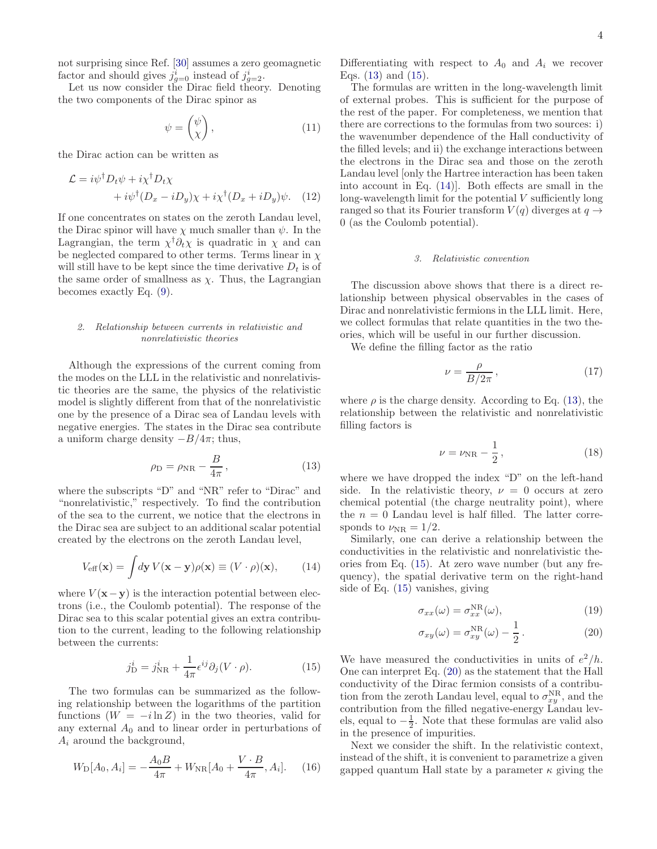not surprising since Ref. [\[30\]](#page-11-28) assumes a zero geomagnetic factor and should gives  $j_{g=0}^i$  instead of  $j_{g=2}^i$ .

Let us now consider the Dirac field theory. Denoting the two components of the Dirac spinor as

$$
\psi = \begin{pmatrix} \psi \\ \chi \end{pmatrix}, \tag{11}
$$

the Dirac action can be written as

$$
\mathcal{L} = i\psi^{\dagger} D_t \psi + i\chi^{\dagger} D_t \chi + i\psi^{\dagger} (D_x - iD_y) \chi + i\chi^{\dagger} (D_x + iD_y) \psi.
$$
 (12)

If one concentrates on states on the zeroth Landau level, the Dirac spinor will have  $\chi$  much smaller than  $\psi$ . In the Lagrangian, the term  $\chi^{\dagger} \partial_t \chi$  is quadratic in  $\chi$  and can be neglected compared to other terms. Terms linear in  $\chi$ will still have to be kept since the time derivative  $D_t$  is of the same order of smallness as  $\chi$ . Thus, the Lagrangian becomes exactly Eq. [\(9\)](#page-2-2).

### 2. Relationship between currents in relativistic and nonrelativistic theories

Although the expressions of the current coming from the modes on the LLL in the relativistic and nonrelativistic theories are the same, the physics of the relativistic model is slightly different from that of the nonrelativistic one by the presence of a Dirac sea of Landau levels with negative energies. The states in the Dirac sea contribute a uniform charge density  $-B/4\pi$ ; thus,

<span id="page-3-0"></span>
$$
\rho_{\rm D} = \rho_{\rm NR} - \frac{B}{4\pi},\qquad(13)
$$

where the subscripts "D" and "NR" refer to "Dirac" and "nonrelativistic," respectively. To find the contribution of the sea to the current, we notice that the electrons in the Dirac sea are subject to an additional scalar potential created by the electrons on the zeroth Landau level,

<span id="page-3-2"></span>
$$
V_{\text{eff}}(\mathbf{x}) = \int d\mathbf{y} V(\mathbf{x} - \mathbf{y}) \rho(\mathbf{x}) \equiv (V \cdot \rho)(\mathbf{x}), \quad (14)
$$

where  $V(\mathbf{x}-\mathbf{y})$  is the interaction potential between electrons (i.e., the Coulomb potential). The response of the Dirac sea to this scalar potential gives an extra contribution to the current, leading to the following relationship between the currents:

<span id="page-3-1"></span>
$$
j_{\rm D}^i = j_{\rm NR}^i + \frac{1}{4\pi} \epsilon^{ij} \partial_j (V \cdot \rho). \tag{15}
$$

The two formulas can be summarized as the following relationship between the logarithms of the partition functions  $(W = -i \ln Z)$  in the two theories, valid for any external  $A_0$  and to linear order in perturbations of  $A_i$  around the background,

$$
W_{\rm D}[A_0, A_i] = -\frac{A_0 B}{4\pi} + W_{\rm NR}[A_0 + \frac{V \cdot B}{4\pi}, A_i].
$$
 (16)

Differentiating with respect to  $A_0$  and  $A_i$  we recover Eqs. [\(13\)](#page-3-0) and [\(15\)](#page-3-1).

The formulas are written in the long-wavelength limit of external probes. This is sufficient for the purpose of the rest of the paper. For completeness, we mention that there are corrections to the formulas from two sources: i) the wavenumber dependence of the Hall conductivity of the filled levels; and ii) the exchange interactions between the electrons in the Dirac sea and those on the zeroth Landau level [only the Hartree interaction has been taken into account in Eq. [\(14\)](#page-3-2)]. Both effects are small in the long-wavelength limit for the potential  $V$  sufficiently long ranged so that its Fourier transform  $V(q)$  diverges at  $q \rightarrow$ 0 (as the Coulomb potential).

# 3. Relativistic convention

The discussion above shows that there is a direct relationship between physical observables in the cases of Dirac and nonrelativistic fermions in the LLL limit. Here, we collect formulas that relate quantities in the two theories, which will be useful in our further discussion.

We define the filling factor as the ratio

$$
\nu = \frac{\rho}{B/2\pi},\tag{17}
$$

where  $\rho$  is the charge density. According to Eq. [\(13\)](#page-3-0), the relationship between the relativistic and nonrelativistic filling factors is

$$
\nu = \nu_{\rm NR} - \frac{1}{2},\qquad(18)
$$

where we have dropped the index "D" on the left-hand side. In the relativistic theory,  $\nu = 0$  occurs at zero chemical potential (the charge neutrality point), where the  $n = 0$  Landau level is half filled. The latter corresponds to  $\nu_{\rm NR} = 1/2$ .

Similarly, one can derive a relationship between the conductivities in the relativistic and nonrelativistic theories from Eq. [\(15\)](#page-3-1). At zero wave number (but any frequency), the spatial derivative term on the right-hand side of Eq. [\(15\)](#page-3-1) vanishes, giving

$$
\sigma_{xx}(\omega) = \sigma_{xx}^{\rm NR}(\omega),\tag{19}
$$

<span id="page-3-3"></span>
$$
\sigma_{xy}(\omega) = \sigma_{xy}^{\text{NR}}(\omega) - \frac{1}{2}.
$$
 (20)

We have measured the conductivities in units of  $e^2/h$ . One can interpret Eq. [\(20\)](#page-3-3) as the statement that the Hall conductivity of the Dirac fermion consists of a contribution from the zeroth Landau level, equal to  $\sigma_{xy}^{NR}$ , and the contribution from the filled negative-energy Landau levels, equal to  $-\frac{1}{2}$ . Note that these formulas are valid also in the presence of impurities.

Next we consider the shift. In the relativistic context, instead of the shift, it is convenient to parametrize a given gapped quantum Hall state by a parameter  $\kappa$  giving the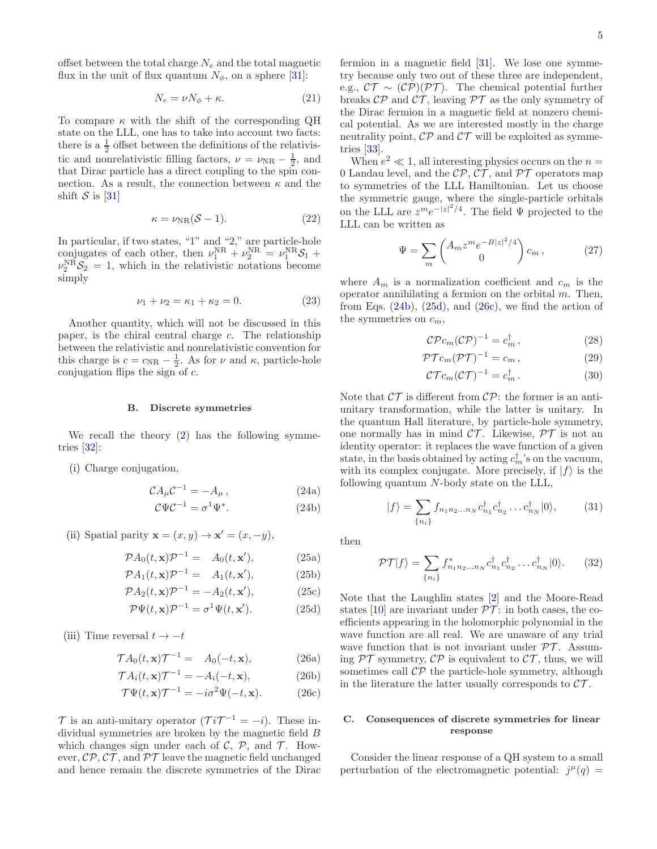offset between the total charge  $N_e$  and the total magnetic flux in the unit of flux quantum  $N_{\phi}$ , on a sphere [\[31\]](#page-11-29):

<span id="page-4-7"></span>
$$
N_e = \nu N_\phi + \kappa. \tag{21}
$$

To compare  $\kappa$  with the shift of the corresponding QH state on the LLL, one has to take into account two facts: there is a  $\frac{1}{2}$  offset between the definitions of the relativistic and nonrelativistic filling factors,  $\nu = \nu_{\rm NR} - \frac{1}{2}$ , and that Dirac particle has a direct coupling to the spin connection. As a result, the connection between  $\kappa$  and the shift  $S$  is [\[31](#page-11-29)]

<span id="page-4-8"></span>
$$
\kappa = \nu_{\rm NR}(\mathcal{S} - 1). \tag{22}
$$

In particular, if two states, "1" and "2," are particle-hole conjugates of each other, then  $\nu_1^{\text{NR}} + \nu_2^{\text{NR}} = \nu_1^{\text{NR}} \mathcal{S}_1 + \nu_2^{\text{NR}} \mathcal{S}_2$  $\nu_2^{\text{NR}}\mathcal{S}_2 = 1$ , which in the relativistic notations become simply

$$
\nu_1 + \nu_2 = \kappa_1 + \kappa_2 = 0. \tag{23}
$$

Another quantity, which will not be discussed in this paper, is the chiral central charge  $c$ . The relationship between the relativistic and nonrelativistic convention for this charge is  $c = c_{\rm NR} - \frac{1}{2}$ . As for  $\nu$  and  $\kappa$ , particle-hole conjugation flips the sign of  $c$ .

#### B. Discrete symmetries

We recall the theory  $(2)$  has the following symmetries [\[32\]](#page-11-30):

(i) Charge conjugation,

<span id="page-4-4"></span>
$$
\mathcal{C}A_{\mu}\mathcal{C}^{-1} = -A_{\mu},\tag{24a}
$$

$$
\mathcal{C}\Psi\mathcal{C}^{-1} = \sigma^1\Psi^*.\tag{24b}
$$

(ii) Spatial parity  $\mathbf{x} = (x, y) \rightarrow \mathbf{x}' = (x, -y)$ ,

$$
\mathcal{P}A_0(t, \mathbf{x})\mathcal{P}^{-1} = A_0(t, \mathbf{x}'),\tag{25a}
$$

$$
\mathcal{P}A_1(t, \mathbf{x})\mathcal{P}^{-1} = A_1(t, \mathbf{x}'), \tag{25b}
$$

$$
\mathcal{P}A_2(t, \mathbf{x})\mathcal{P}^{-1} = -A_2(t, \mathbf{x}'),\tag{25c}
$$

<span id="page-4-6"></span>
$$
\mathcal{P}\Psi(t,\mathbf{x})\mathcal{P}^{-1} = \sigma^1\Psi(t,\mathbf{x}'). \tag{25d}
$$

(iii) Time reversal  $t \rightarrow -t$ 

$$
\mathcal{T}A_0(t,\mathbf{x})\mathcal{T}^{-1} = A_0(-t,\mathbf{x}), \tag{26a}
$$

$$
\mathcal{T}A_i(t, \mathbf{x})\mathcal{T}^{-1} = -A_i(-t, \mathbf{x}),\tag{26b}
$$

$$
\mathcal{T}\Psi(t,\mathbf{x})\mathcal{T}^{-1} = -i\sigma^2\Psi(-t,\mathbf{x}).\tag{26c}
$$

 $\mathcal{T}$  is an anti-unitary operator  $(\mathcal{T}i\mathcal{T}^{-1}=-i)$ . These individual symmetries are broken by the magnetic field B which changes sign under each of  $\mathcal{C}, \mathcal{P},$  and  $\mathcal{T}$ . However,  $\mathcal{CP}, \mathcal{CT},$  and  $\mathcal{PT}$  leave the magnetic field unchanged and hence remain the discrete symmetries of the Dirac

fermion in a magnetic field [\[31](#page-11-29)]. We lose one symmetry because only two out of these three are independent, e.g.,  $\mathcal{CT} \sim (\mathcal{CP})(\mathcal{PT})$ . The chemical potential further breaks  $\mathcal{CP}$  and  $\mathcal{CT}$ , leaving  $\mathcal{PT}$  as the only symmetry of the Dirac fermion in a magnetic field at nonzero chemical potential. As we are interested mostly in the charge neutrality point,  $\mathcal{CP}$  and  $\mathcal{CT}$  will be exploited as symmetries [\[33\]](#page-12-0).

When  $e^2 \ll 1$ , all interesting physics occurs on the  $n =$ 0 Landau level, and the  $\mathcal{CP}, \mathcal{CT},$  and  $\mathcal{PT}$  operators map to symmetries of the LLL Hamiltonian. Let us choose the symmetric gauge, where the single-particle orbitals on the LLL are  $z^m e^{-|z|^2/4}$ . The field  $\Psi$  projected to the LLL can be written as

<span id="page-4-0"></span>
$$
\Psi = \sum_{m} \begin{pmatrix} A_m z^m e^{-B|z|^2/4} \\ 0 \end{pmatrix} c_m , \qquad (27)
$$

where  $A_m$  is a normalization coefficient and  $c_m$  is the operator annihilating a fermion on the orbital  $m$ . Then, from Eqs.  $(24b)$ ,  $(25d)$ , and  $(26c)$ , we find the action of the symmetries on  $c_m$ ,

$$
\mathcal{C}\mathcal{P}c_m(\mathcal{C}\mathcal{P})^{-1} = c_m^{\dagger},\qquad(28)
$$

$$
\mathcal{PT}c_m(\mathcal{PT})^{-1} = c_m \,,\tag{29}
$$

$$
\mathcal{CT}c_m(\mathcal{CT})^{-1} = c_m^{\dagger}.
$$
 (30)

Note that  $\mathcal{CT}$  is different from  $\mathcal{CP}$ : the former is an antiunitary transformation, while the latter is unitary. In the quantum Hall literature, by particle-hole symmetry, one normally has in mind  $\mathcal{CT}$ . Likewise,  $\mathcal{PT}$  is not an identity operator: it replaces the wave function of a given state, in the basis obtained by acting  $c_m^{\dagger}$ 's on the vacuum, with its complex conjugate. More precisely, if  $|f\rangle$  is the following quantum N-body state on the LLL,

$$
|f\rangle = \sum_{\{n_i\}} f_{n_1 n_2 \dots n_N} c_{n_1}^{\dagger} c_{n_2}^{\dagger} \dots c_{n_N}^{\dagger} |0\rangle, \tag{31}
$$

<span id="page-4-5"></span><span id="page-4-1"></span>then

$$
\mathcal{PT}|f\rangle = \sum_{\{n_i\}} f^*_{n_1 n_2 \dots n_N} c^{\dagger}_{n_1} c^{\dagger}_{n_2} \dots c^{\dagger}_{n_N} |0\rangle. \tag{32}
$$

<span id="page-4-2"></span>Note that the Laughlin states [\[2\]](#page-11-1) and the Moore-Read states [\[10\]](#page-11-8) are invariant under  $\mathcal{PT}$ : in both cases, the coefficients appearing in the holomorphic polynomial in the wave function are all real. We are unaware of any trial wave function that is not invariant under  $\mathcal{PT}$ . Assuming  $\mathcal{PT}$  symmetry,  $\mathcal{CP}$  is equivalent to  $\mathcal{CT}$ , thus, we will sometimes call  $\mathcal{CP}$  the particle-hole symmetry, although in the literature the latter usually corresponds to  $\mathcal{CT}$ .

### <span id="page-4-3"></span>C. Consequences of discrete symmetries for linear response

Consider the linear response of a QH system to a small perturbation of the electromagnetic potential:  $j^{\mu}(q) =$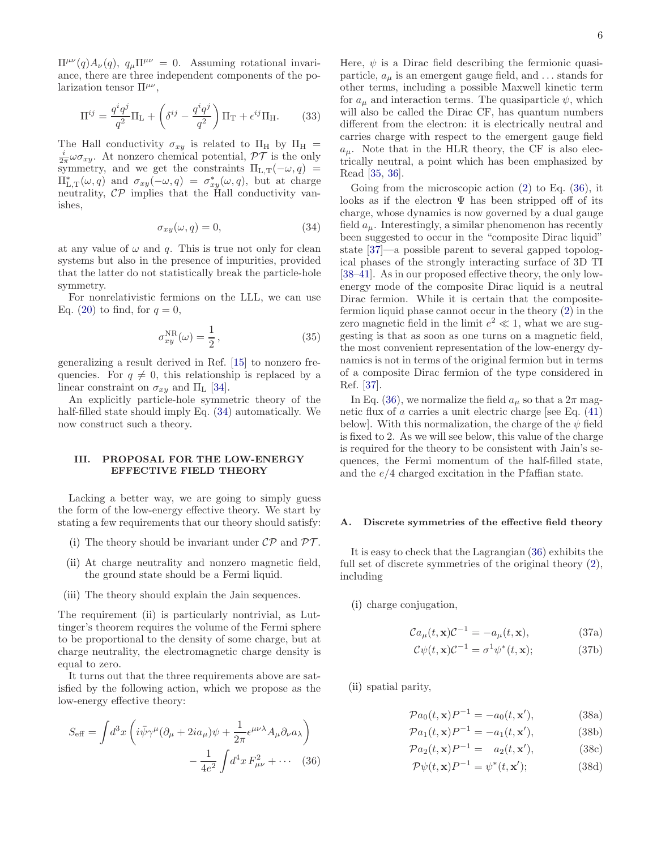$\Pi^{\mu\nu}(q)A_{\nu}(q), q_{\mu}\Pi^{\mu\nu}=0.$  Assuming rotational invariance, there are three independent components of the polarization tensor  $\Pi^{\mu\nu}$ ,

<span id="page-5-3"></span>
$$
\Pi^{ij} = \frac{q^i q^j}{q^2} \Pi_{\mathcal{L}} + \left(\delta^{ij} - \frac{q^i q^j}{q^2}\right) \Pi_{\mathcal{T}} + \epsilon^{ij} \Pi_{\mathcal{H}}.
$$
 (33)

The Hall conductivity  $\sigma_{xy}$  is related to  $\Pi_H$  by  $\Pi_H$  =  $\frac{i}{2\pi}\omega\sigma_{xy}$ . At nonzero chemical potential,  $\mathcal{PT}$  is the only symmetry, and we get the constraints  $\Pi_{L,T}(-\omega, q)$  =  $\Pi_{L,T}^*(\omega, q)$  and  $\sigma_{xy}(-\omega, q) = \sigma_{xy}^*(\omega, q)$ , but at charge neutrality,  $\mathcal{CP}$  implies that the Hall conductivity vanishes,

<span id="page-5-1"></span>
$$
\sigma_{xy}(\omega, q) = 0,\tag{34}
$$

at any value of  $\omega$  and q. This is true not only for clean systems but also in the presence of impurities, provided that the latter do not statistically break the particle-hole symmetry.

For nonrelativistic fermions on the LLL, we can use Eq. [\(20\)](#page-3-3) to find, for  $q=0$ ,

$$
\sigma_{xy}^{\rm NR}(\omega) = \frac{1}{2},\qquad(35)
$$

generalizing a result derived in Ref. [\[15\]](#page-11-13) to nonzero frequencies. For  $q \neq 0$ , this relationship is replaced by a linear constraint on  $\sigma_{xy}$  and  $\Pi_L$  [\[34](#page-12-1)].

An explicitly particle-hole symmetric theory of the half-filled state should imply Eq. [\(34\)](#page-5-1) automatically. We now construct such a theory.

## <span id="page-5-0"></span>III. PROPOSAL FOR THE LOW-ENERGY EFFECTIVE FIELD THEORY

Lacking a better way, we are going to simply guess the form of the low-energy effective theory. We start by stating a few requirements that our theory should satisfy:

- (i) The theory should be invariant under  $\mathcal{CP}$  and  $\mathcal{PT}$ .
- (ii) At charge neutrality and nonzero magnetic field, the ground state should be a Fermi liquid.
- (iii) The theory should explain the Jain sequences.

The requirement (ii) is particularly nontrivial, as Luttinger's theorem requires the volume of the Fermi sphere to be proportional to the density of some charge, but at charge neutrality, the electromagnetic charge density is equal to zero.

It turns out that the three requirements above are satisfied by the following action, which we propose as the low-energy effective theory:

$$
S_{\text{eff}} = \int d^3x \left( i\bar{\psi}\gamma^{\mu}(\partial_{\mu} + 2ia_{\mu})\psi + \frac{1}{2\pi} \epsilon^{\mu\nu\lambda} A_{\mu} \partial_{\nu} a_{\lambda} \right) - \frac{1}{4e^2} \int d^4x F_{\mu\nu}^2 + \cdots
$$
 (36)

Here,  $\psi$  is a Dirac field describing the fermionic quasiparticle,  $a_{\mu}$  is an emergent gauge field, and  $\dots$  stands for other terms, including a possible Maxwell kinetic term for  $a_{\mu}$  and interaction terms. The quasiparticle  $\psi$ , which will also be called the Dirac CF, has quantum numbers different from the electron: it is electrically neutral and carries charge with respect to the emergent gauge field  $a_{\mu}$ . Note that in the HLR theory, the CF is also electrically neutral, a point which has been emphasized by Read [\[35](#page-12-2), [36\]](#page-12-3).

Going from the microscopic action [\(2\)](#page-1-1) to Eq. [\(36\)](#page-5-2), it looks as if the electron  $\Psi$  has been stripped off of its charge, whose dynamics is now governed by a dual gauge field  $a_{\mu}$ . Interestingly, a similar phenomenon has recently been suggested to occur in the "composite Dirac liquid" state [\[37\]](#page-12-4)—a possible parent to several gapped topological phases of the strongly interacting surface of 3D TI [\[38](#page-12-5)[–41\]](#page-12-6). As in our proposed effective theory, the only lowenergy mode of the composite Dirac liquid is a neutral Dirac fermion. While it is certain that the compositefermion liquid phase cannot occur in the theory [\(2\)](#page-1-1) in the zero magnetic field in the limit  $e^2 \ll 1$ , what we are suggesting is that as soon as one turns on a magnetic field, the most convenient representation of the low-energy dynamics is not in terms of the original fermion but in terms of a composite Dirac fermion of the type considered in Ref. [\[37\]](#page-12-4).

In Eq. [\(36\)](#page-5-2), we normalize the field  $a_{\mu}$  so that a  $2\pi$  magnetic flux of  $\alpha$  carries a unit electric charge [see Eq.  $(41)$ ] below]. With this normalization, the charge of the  $\psi$  field is fixed to 2. As we will see below, this value of the charge is required for the theory to be consistent with Jain's sequences, the Fermi momentum of the half-filled state, and the  $e/4$  charged excitation in the Pfaffian state.

#### A. Discrete symmetries of the effective field theory

It is easy to check that the Lagrangian [\(36\)](#page-5-2) exhibits the full set of discrete symmetries of the original theory [\(2\)](#page-1-1), including

(i) charge conjugation,

$$
Ca_{\mu}(t, \mathbf{x})\mathcal{C}^{-1} = -a_{\mu}(t, \mathbf{x}),\tag{37a}
$$

$$
\mathcal{C}\psi(t,\mathbf{x})\mathcal{C}^{-1} = \sigma^1\psi^*(t,\mathbf{x});\tag{37b}
$$

<span id="page-5-2"></span>(ii) spatial parity,

$$
\mathcal{P}a_0(t, \mathbf{x})P^{-1} = -a_0(t, \mathbf{x}'),\tag{38a}
$$

$$
\mathcal{P}a_1(t, \mathbf{x})P^{-1} = -a_1(t, \mathbf{x}'),\tag{38b}
$$

$$
\mathcal{P}a_2(t, \mathbf{x})P^{-1} = a_2(t, \mathbf{x}'),\tag{38c}
$$

$$
\mathcal{P}\psi(t,\mathbf{x})P^{-1} = \psi^*(t,\mathbf{x}');\tag{38d}
$$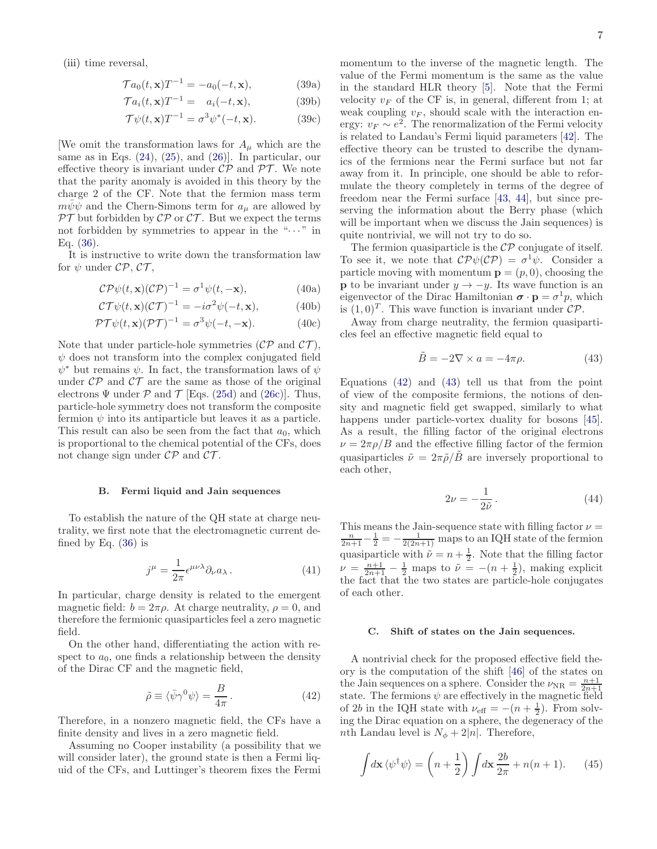(iii) time reversal,

$$
\mathcal{T}a_0(t, \mathbf{x})T^{-1} = -a_0(-t, \mathbf{x}),\tag{39a}
$$

$$
\mathcal{T}a_i(t, \mathbf{x})T^{-1} = a_i(-t, \mathbf{x}), \tag{39b}
$$

$$
\mathcal{T}\psi(t,\mathbf{x})T^{-1} = \sigma^3\psi^*(-t,\mathbf{x}).\tag{39c}
$$

We omit the transformation laws for  $A_\mu$  which are the same as in Eqs.  $(24)$ ,  $(25)$ , and  $(26)$ ]. In particular, our effective theory is invariant under  $\mathcal{CP}$  and  $\mathcal{PT}$ . We note that the parity anomaly is avoided in this theory by the charge 2 of the CF. Note that the fermion mass term  $m\psi\psi$  and the Chern-Simons term for  $a_{\mu}$  are allowed by  $\mathcal{PT}$  but forbidden by  $\mathcal{CP}$  or  $\mathcal{CT}$ . But we expect the terms not forbidden by symmetries to appear in the " $\cdots$ " in Eq. [\(36\)](#page-5-2).

It is instructive to write down the transformation law for  $\psi$  under  $\mathcal{CP}, \mathcal{CT},$ 

$$
C\mathcal{P}\psi(t,\mathbf{x})(C\mathcal{P})^{-1} = \sigma^1\psi(t,-\mathbf{x}),\tag{40a}
$$

$$
\mathcal{CT}\psi(t,\mathbf{x})(\mathcal{CT})^{-1} = -i\sigma^2\psi(-t,\mathbf{x}),\tag{40b}
$$

$$
\mathcal{PT}\psi(t,\mathbf{x})(\mathcal{PT})^{-1} = \sigma^3\psi(-t,-\mathbf{x}).\tag{40c}
$$

Note that under particle-hole symmetries  $(\mathcal{CP}$  and  $\mathcal{CT})$ ,  $\psi$  does not transform into the complex conjugated field  $\psi^*$  but remains  $\psi$ . In fact, the transformation laws of  $\psi$ under  $\mathcal{CP}$  and  $\mathcal{CT}$  are the same as those of the original electrons  $\Psi$  under  $P$  and  $T$  [Eqs. [\(25d\)](#page-4-2) and [\(26c\)](#page-4-3)]. Thus, particle-hole symmetry does not transform the composite fermion  $\psi$  into its antiparticle but leaves it as a particle. This result can also be seen from the fact that  $a_0$ , which is proportional to the chemical potential of the CFs, does not change sign under  $\mathcal{CP}$  and  $\mathcal{CT}$ .

#### B. Fermi liquid and Jain sequences

To establish the nature of the QH state at charge neutrality, we first note that the electromagnetic current defined by Eq.  $(36)$  is

<span id="page-6-0"></span>
$$
j^{\mu} = \frac{1}{2\pi} \epsilon^{\mu\nu\lambda} \partial_{\nu} a_{\lambda} . \tag{41}
$$

In particular, charge density is related to the emergent magnetic field:  $b = 2\pi \rho$ . At charge neutrality,  $\rho = 0$ , and therefore the fermionic quasiparticles feel a zero magnetic field.

On the other hand, differentiating the action with respect to  $a_0$ , one finds a relationship between the density of the Dirac CF and the magnetic field,

<span id="page-6-1"></span>
$$
\tilde{\rho} \equiv \langle \bar{\psi} \gamma^0 \psi \rangle = \frac{B}{4\pi} \,. \tag{42}
$$

Therefore, in a nonzero magnetic field, the CFs have a finite density and lives in a zero magnetic field.

Assuming no Cooper instability (a possibility that we will consider later), the ground state is then a Fermi liquid of the CFs, and Luttinger's theorem fixes the Fermi

7

momentum to the inverse of the magnetic length. The value of the Fermi momentum is the same as the value in the standard HLR theory [\[5\]](#page-11-3). Note that the Fermi velocity  $v_F$  of the CF is, in general, different from 1; at weak coupling  $v_F$ , should scale with the interaction energy:  $v_F \sim e^2$ . The renormalization of the Fermi velocity is related to Landau's Fermi liquid parameters [\[42\]](#page-12-7). The effective theory can be trusted to describe the dynamics of the fermions near the Fermi surface but not far away from it. In principle, one should be able to reformulate the theory completely in terms of the degree of freedom near the Fermi surface [\[43,](#page-12-8) [44\]](#page-12-9), but since preserving the information about the Berry phase (which will be important when we discuss the Jain sequences) is quite nontrivial, we will not try to do so.

The fermion quasiparticle is the  $\mathcal{CP}$  conjugate of itself. To see it, we note that  $\mathcal{CP}\psi(\mathcal{CP}) = \sigma^1\psi$ . Consider a particle moving with momentum  $\mathbf{p} = (p, 0)$ , choosing the **p** to be invariant under  $y \rightarrow -y$ . Its wave function is an eigenvector of the Dirac Hamiltonian  $\boldsymbol{\sigma} \cdot \mathbf{p} = \sigma^1 p$ , which is  $(1, 0)^T$ . This wave function is invariant under  $\mathcal{CP}$ .

Away from charge neutrality, the fermion quasiparticles feel an effective magnetic field equal to

<span id="page-6-2"></span>
$$
\tilde{B} = -2\nabla \times a = -4\pi \rho.
$$
 (43)

Equations  $(42)$  and  $(43)$  tell us that from the point of view of the composite fermions, the notions of density and magnetic field get swapped, similarly to what happens under particle-vortex duality for bosons [\[45\]](#page-12-10). As a result, the filling factor of the original electrons  $\nu = 2\pi \rho/B$  and the effective filling factor of the fermion quasiparticles  $\tilde{\nu} = 2\pi \tilde{\rho}/\tilde{B}$  are inversely proportional to each other,

$$
2\nu = -\frac{1}{2\tilde{\nu}}.\tag{44}
$$

This means the Jain-sequence state with filling factor  $\nu =$  $\frac{n}{2n+1} - \frac{1}{2} = -\frac{1}{2(2n+1)}$  maps to an IQH state of the fermion quasiparticle with  $\tilde{\nu} = n + \frac{1}{2}$ . Note that the filling factor  $\nu = \frac{n+1}{2n+1} - \frac{1}{2}$  maps to  $\tilde{\nu} = -(n+\frac{1}{2})$ , making explicit the fact that the two states are particle-hole conjugates of each other.

#### C. Shift of states on the Jain sequences.

A nontrivial check for the proposed effective field theory is the computation of the shift [\[46\]](#page-12-11) of the states on the Jain sequences on a sphere. Consider the  $\nu_{\rm NR} = \frac{n+1}{2n+1}$ state. The fermions  $\psi$  are effectively in the magnetic field of 2b in the IQH state with  $\nu_{\text{eff}} = -(n + \frac{1}{2})$ . From solving the Dirac equation on a sphere, the degeneracy of the *nth* Landau level is  $N_{\phi} + 2|n|$ . Therefore,

$$
\int d\mathbf{x} \langle \psi^{\dagger} \psi \rangle = \left( n + \frac{1}{2} \right) \int d\mathbf{x} \frac{2b}{2\pi} + n(n+1). \tag{45}
$$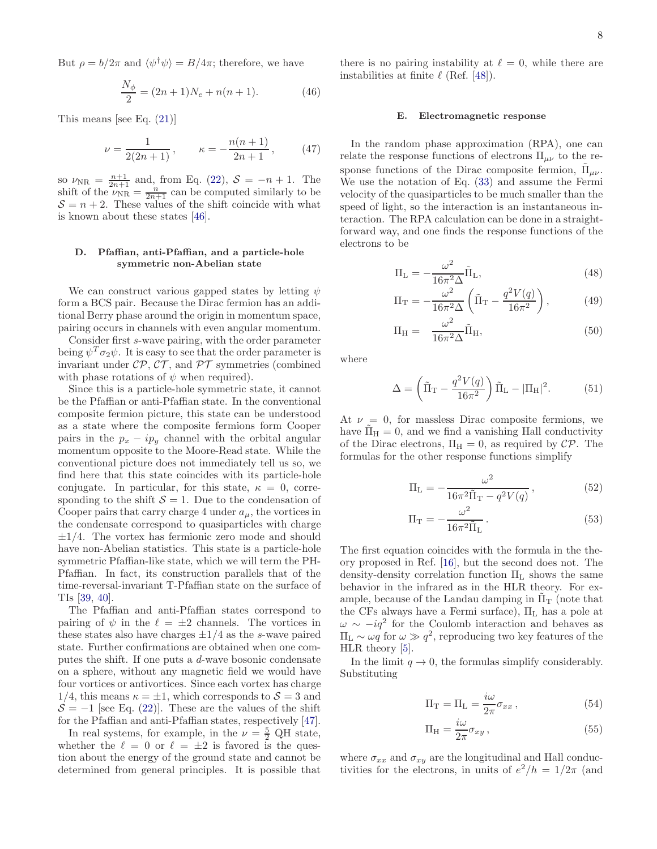But  $\rho = b/2\pi$  and  $\langle \psi^{\dagger} \psi \rangle = B/4\pi$ ; therefore, we have

$$
\frac{N_{\phi}}{2} = (2n+1)N_e + n(n+1). \tag{46}
$$

This means [see Eq. [\(21\)](#page-4-7)]

$$
\nu = \frac{1}{2(2n+1)}, \qquad \kappa = -\frac{n(n+1)}{2n+1}, \qquad (47)
$$

so  $\nu_{\rm NR} = \frac{n+1}{2n+1}$  and, from Eq. [\(22\)](#page-4-8),  $S = -n+1$ . The shift of the  $\nu_{\rm NR} = \frac{n}{2n+1}$  can be computed similarly to be  $S = n + 2$ . These values of the shift coincide with what is known about these states [\[46\]](#page-12-11).

# D. Pfaffian, anti-Pfaffian, and a particle-hole symmetric non-Abelian state

We can construct various gapped states by letting  $\psi$ form a BCS pair. Because the Dirac fermion has an additional Berry phase around the origin in momentum space, pairing occurs in channels with even angular momentum.

Consider first s-wave pairing, with the order parameter being  $\psi^T \sigma_2 \psi$ . It is easy to see that the order parameter is invariant under  $\mathcal{CP}, \mathcal{CT},$  and  $\mathcal{PT}$  symmetries (combined with phase rotations of  $\psi$  when required).

Since this is a particle-hole symmetric state, it cannot be the Pfaffian or anti-Pfaffian state. In the conventional composite fermion picture, this state can be understood as a state where the composite fermions form Cooper pairs in the  $p_x - ip_y$  channel with the orbital angular momentum opposite to the Moore-Read state. While the conventional picture does not immediately tell us so, we find here that this state coincides with its particle-hole conjugate. In particular, for this state,  $\kappa = 0$ , corresponding to the shift  $S = 1$ . Due to the condensation of Cooper pairs that carry charge 4 under  $a_{\mu}$ , the vortices in the condensate correspond to quasiparticles with charge  $\pm 1/4$ . The vortex has fermionic zero mode and should have non-Abelian statistics. This state is a particle-hole symmetric Pfaffian-like state, which we will term the PH-Pfaffian. In fact, its construction parallels that of the time-reversal-invariant T-Pfaffian state on the surface of TIs [\[39,](#page-12-12) [40\]](#page-12-13).

The Pfaffian and anti-Pfaffian states correspond to pairing of  $\psi$  in the  $\ell = \pm 2$  channels. The vortices in these states also have charges  $\pm 1/4$  as the s-wave paired state. Further confirmations are obtained when one computes the shift. If one puts a d-wave bosonic condensate on a sphere, without any magnetic field we would have four vortices or antivortices. Since each vortex has charge 1/4, this means  $\kappa = \pm 1$ , which corresponds to  $\mathcal{S} = 3$  and  $S = -1$  [see Eq. [\(22\)](#page-4-8)]. These are the values of the shift for the Pfaffian and anti-Pfaffian states, respectively [\[47\]](#page-12-14).

In real systems, for example, in the  $\nu = \frac{5}{2}$  QH state, whether the  $\ell = 0$  or  $\ell = \pm 2$  is favored is the question about the energy of the ground state and cannot be determined from general principles. It is possible that

there is no pairing instability at  $\ell = 0$ , while there are instabilities at finite  $\ell$  (Ref. [\[48\]](#page-12-15)).

#### E. Electromagnetic response

In the random phase approximation (RPA), one can relate the response functions of electrons  $\Pi_{\mu\nu}$  to the response functions of the Dirac composite fermion,  $\tilde{\Pi}_{\mu\nu}$ . We use the notation of Eq. [\(33\)](#page-5-3) and assume the Fermi velocity of the quasiparticles to be much smaller than the speed of light, so the interaction is an instantaneous interaction. The RPA calculation can be done in a straightforward way, and one finds the response functions of the electrons to be

<span id="page-7-0"></span>
$$
\Pi_{\mathcal{L}} = -\frac{\omega^2}{16\pi^2 \Delta} \tilde{\Pi}_{\mathcal{L}},\tag{48}
$$

$$
\Pi_{\rm T} = -\frac{\omega^2}{16\pi^2 \Delta} \left( \tilde{\Pi}_{\rm T} - \frac{q^2 V(q)}{16\pi^2} \right),\tag{49}
$$

<span id="page-7-1"></span>
$$
\Pi_{\rm H} = \frac{\omega^2}{16\pi^2 \Delta} \tilde{\Pi}_{\rm H},\tag{50}
$$

where

$$
\Delta = \left(\tilde{\Pi}_{\rm T} - \frac{q^2 V(q)}{16\pi^2}\right) \tilde{\Pi}_{\rm L} - |\Pi_{\rm H}|^2. \tag{51}
$$

At  $\nu = 0$ , for massless Dirac composite fermions, we have  $\Pi_H = 0$ , and we find a vanishing Hall conductivity of the Dirac electrons,  $\Pi_H = 0$ , as required by  $\mathcal{CP}$ . The formulas for the other response functions simplify

$$
\Pi_{\rm L} = -\frac{\omega^2}{16\pi^2 \tilde{\Pi}_{\rm T} - q^2 V(q)},\tag{52}
$$

$$
\Pi_{\rm T} = -\frac{\omega^2}{16\pi^2 \tilde{\Pi}_{\rm L}}.\tag{53}
$$

The first equation coincides with the formula in the theory proposed in Ref. [\[16\]](#page-11-14), but the second does not. The density-density correlation function  $\Pi_L$  shows the same behavior in the infrared as in the HLR theory. For example, because of the Landau damping in  $\Pi$ <sup>T</sup> (note that the CFs always have a Fermi surface),  $\Pi_L$  has a pole at  $\omega \sim -iq^2$  for the Coulomb interaction and behaves as  $\Pi_{\text{L}} \sim \omega q$  for  $\omega \gg q^2$ , reproducing two key features of the HLR theory [\[5\]](#page-11-3).

In the limit  $q \to 0$ , the formulas simplify considerably. Substituting

$$
\Pi_{\mathcal{T}} = \Pi_{\mathcal{L}} = \frac{i\omega}{2\pi} \sigma_{xx},\tag{54}
$$

$$
\Pi_{\rm H} = \frac{i\omega}{2\pi} \sigma_{xy} \,,\tag{55}
$$

where  $\sigma_{xx}$  and  $\sigma_{xy}$  are the longitudinal and Hall conductivities for the electrons, in units of  $e^2/h = 1/2\pi$  (and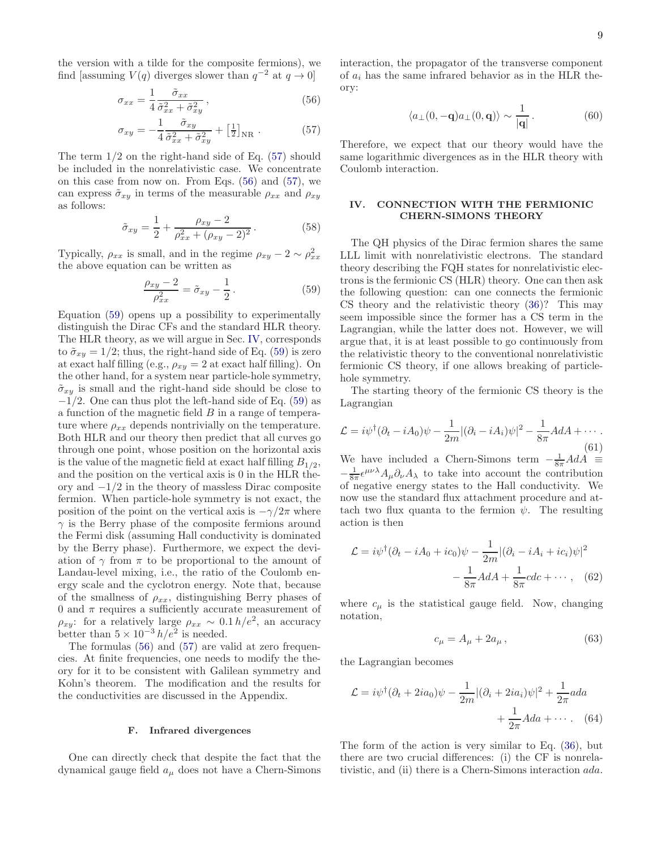the version with a tilde for the composite fermions), we find [assuming  $V(q)$  diverges slower than  $q^{-2}$  at  $q \to 0$ ]

$$
\sigma_{xx} = \frac{1}{4} \frac{\tilde{\sigma}_{xx}}{\tilde{\sigma}_{xx}^2 + \tilde{\sigma}_{xy}^2},\tag{56}
$$

$$
\sigma_{xy} = -\frac{1}{4} \frac{\tilde{\sigma}_{xy}}{\tilde{\sigma}_{xx}^2 + \tilde{\sigma}_{xy}^2} + \left[\frac{1}{2}\right]_{\text{NR}} . \tag{57}
$$

The term  $1/2$  on the right-hand side of Eq.  $(57)$  should be included in the nonrelativistic case. We concentrate on this case from now on. From Eqs. [\(56\)](#page-8-2) and [\(57\)](#page-8-1), we can express  $\tilde{\sigma}_{xy}$  in terms of the measurable  $\rho_{xx}$  and  $\rho_{xy}$ as follows:

$$
\tilde{\sigma}_{xy} = \frac{1}{2} + \frac{\rho_{xy} - 2}{\rho_{xx}^2 + (\rho_{xy} - 2)^2}.
$$
\n(58)

Typically,  $\rho_{xx}$  is small, and in the regime  $\rho_{xy} - 2 \sim \rho_{xx}^2$ the above equation can be written as

<span id="page-8-3"></span>
$$
\frac{\rho_{xy} - 2}{\rho_{xx}^2} = \tilde{\sigma}_{xy} - \frac{1}{2}.
$$
\n(59)

Equation [\(59\)](#page-8-3) opens up a possibility to experimentally distinguish the Dirac CFs and the standard HLR theory. The HLR theory, as we will argue in Sec. [IV,](#page-8-0) corresponds to  $\tilde{\sigma}_{xy} = 1/2$ ; thus, the right-hand side of Eq. [\(59\)](#page-8-3) is zero at exact half filling (e.g.,  $\rho_{xy} = 2$  at exact half filling). On the other hand, for a system near particle-hole symmetry,  $\tilde{\sigma}_{xy}$  is small and the right-hand side should be close to  $-1/2$ . One can thus plot the left-hand side of Eq. [\(59\)](#page-8-3) as a function of the magnetic field B in a range of temperature where  $\rho_{xx}$  depends nontrivially on the temperature. Both HLR and our theory then predict that all curves go through one point, whose position on the horizontal axis is the value of the magnetic field at exact half filling  $B_{1/2}$ , and the position on the vertical axis is 0 in the HLR theory and −1/2 in the theory of massless Dirac composite fermion. When particle-hole symmetry is not exact, the position of the point on the vertical axis is  $-\gamma/2\pi$  where  $\gamma$  is the Berry phase of the composite fermions around the Fermi disk (assuming Hall conductivity is dominated by the Berry phase). Furthermore, we expect the deviation of  $\gamma$  from  $\pi$  to be proportional to the amount of Landau-level mixing, i.e., the ratio of the Coulomb energy scale and the cyclotron energy. Note that, because of the smallness of  $\rho_{xx}$ , distinguishing Berry phases of 0 and  $\pi$  requires a sufficiently accurate measurement of  $\rho_{xy}$ : for a relatively large  $\rho_{xx} \sim 0.1 h/e^2$ , an accuracy better than  $5 \times 10^{-3} h/e^2$  is needed.

The formulas [\(56\)](#page-8-2) and [\(57\)](#page-8-1) are valid at zero frequencies. At finite frequencies, one needs to modify the theory for it to be consistent with Galilean symmetry and Kohn's theorem. The modification and the results for the conductivities are discussed in the Appendix.

## F. Infrared divergences

One can directly check that despite the fact that the dynamical gauge field  $a_{\mu}$  does not have a Chern-Simons <span id="page-8-2"></span>interaction, the propagator of the transverse component of  $a_i$  has the same infrared behavior as in the HLR theory:

$$
\langle a_{\perp}(0, -\mathbf{q})a_{\perp}(0, \mathbf{q})\rangle \sim \frac{1}{|\mathbf{q}|}.
$$
 (60)

<span id="page-8-1"></span>Therefore, we expect that our theory would have the same logarithmic divergences as in the HLR theory with Coulomb interaction.

### <span id="page-8-0"></span>IV. CONNECTION WITH THE FERMIONIC CHERN-SIMONS THEORY

The QH physics of the Dirac fermion shares the same LLL limit with nonrelativistic electrons. The standard theory describing the FQH states for nonrelativistic electrons is the fermionic CS (HLR) theory. One can then ask the following question: can one connects the fermionic CS theory and the relativistic theory [\(36\)](#page-5-2)? This may seem impossible since the former has a CS term in the Lagrangian, while the latter does not. However, we will argue that, it is at least possible to go continuously from the relativistic theory to the conventional nonrelativistic fermionic CS theory, if one allows breaking of particlehole symmetry.

The starting theory of the fermionic CS theory is the Lagrangian

$$
\mathcal{L} = i\psi^{\dagger}(\partial_t - iA_0)\psi - \frac{1}{2m}|(\partial_i - iA_i)\psi|^2 - \frac{1}{8\pi}AdA + \cdots
$$
\n(61)  
\nWe have included a Chern-Simons term  $-\frac{1}{8\pi}AdA \equiv$ 

 $-\frac{1}{8\pi}\epsilon^{\mu\nu\lambda}A_{\mu}\partial_{\nu}A_{\lambda}$  to take into account the contribution of negative energy states to the Hall conductivity. We now use the standard flux attachment procedure and attach two flux quanta to the fermion  $\psi$ . The resulting action is then

$$
\mathcal{L} = i\psi^{\dagger}(\partial_t - iA_0 + ic_0)\psi - \frac{1}{2m}|(\partial_i - iA_i + ic_i)\psi|^2
$$

$$
-\frac{1}{8\pi}AdA + \frac{1}{8\pi}cdc + \cdots, \quad (62)
$$

where  $c_{\mu}$  is the statistical gauge field. Now, changing notation,

<span id="page-8-4"></span>
$$
c_{\mu} = A_{\mu} + 2a_{\mu} \,, \tag{63}
$$

the Lagrangian becomes

$$
\mathcal{L} = i\psi^{\dagger}(\partial_t + 2ia_0)\psi - \frac{1}{2m}|(\partial_i + 2ia_i)\psi|^2 + \frac{1}{2\pi}ada
$$

$$
+ \frac{1}{2\pi}Ada + \cdots. \quad (64)
$$

The form of the action is very similar to Eq. [\(36\)](#page-5-2), but there are two crucial differences: (i) the CF is nonrelativistic, and (ii) there is a Chern-Simons interaction ada.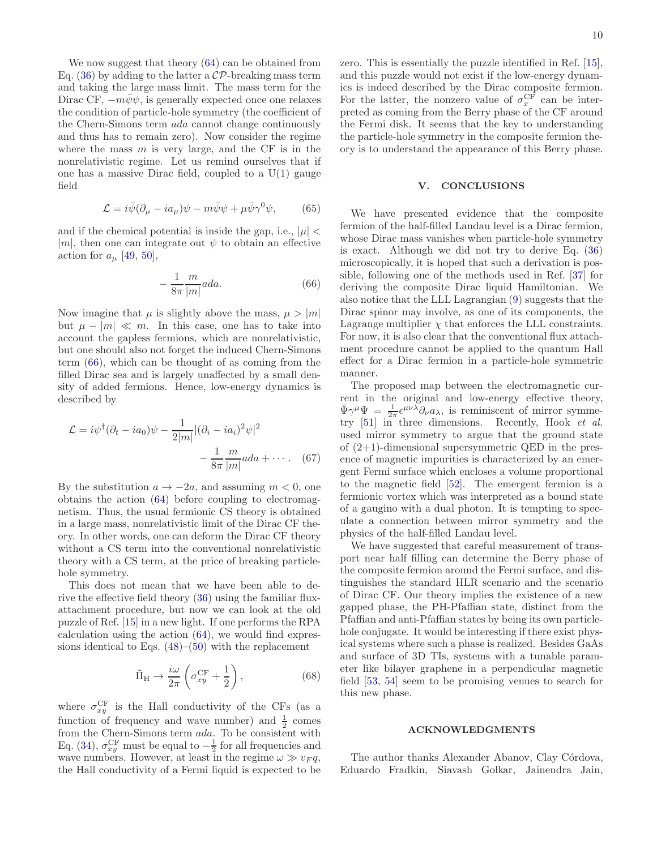We now suggest that theory [\(64\)](#page-8-4) can be obtained from Eq. [\(36\)](#page-5-2) by adding to the latter a  $\mathcal{CP}$ -breaking mass term and taking the large mass limit. The mass term for the Dirac CF,  $-m\bar{\psi}\psi$ , is generally expected once one relaxes the condition of particle-hole symmetry (the coefficient of the Chern-Simons term ada cannot change continuously and thus has to remain zero). Now consider the regime where the mass  $m$  is very large, and the CF is in the nonrelativistic regime. Let us remind ourselves that if one has a massive Dirac field, coupled to a  $U(1)$  gauge field

$$
\mathcal{L} = i\bar{\psi}(\partial_{\mu} - ia_{\mu})\psi - m\bar{\psi}\psi + \mu\bar{\psi}\gamma^{0}\psi, \qquad (65)
$$

and if the chemical potential is inside the gap, i.e.,  $|\mu|$  < |m|, then one can integrate out  $\psi$  to obtain an effective action for  $a_{\mu}$  [\[49,](#page-12-16) [50\]](#page-12-17),

<span id="page-9-1"></span>
$$
-\frac{1}{8\pi} \frac{m}{|m|} a d a.
$$
 (66)

Now imagine that  $\mu$  is slightly above the mass,  $\mu > |m|$ but  $\mu - |m| \ll m$ . In this case, one has to take into account the gapless fermions, which are nonrelativistic, but one should also not forget the induced Chern-Simons term [\(66\)](#page-9-1), which can be thought of as coming from the filled Dirac sea and is largely unaffected by a small density of added fermions. Hence, low-energy dynamics is described by

$$
\mathcal{L} = i\psi^{\dagger}(\partial_t - ia_0)\psi - \frac{1}{2|m|} |(\partial_i - ia_i)^2 \psi|^2
$$

$$
-\frac{1}{8\pi} \frac{m}{|m|} ada + \cdots. \quad (67)
$$

By the substitution  $a \to -2a$ , and assuming  $m < 0$ , one obtains the action [\(64\)](#page-8-4) before coupling to electromagnetism. Thus, the usual fermionic CS theory is obtained in a large mass, nonrelativistic limit of the Dirac CF theory. In other words, one can deform the Dirac CF theory without a CS term into the conventional nonrelativistic theory with a CS term, at the price of breaking particlehole symmetry.

This does not mean that we have been able to derive the effective field theory [\(36\)](#page-5-2) using the familiar fluxattachment procedure, but now we can look at the old puzzle of Ref. [\[15](#page-11-13)] in a new light. If one performs the RPA calculation using the action [\(64\)](#page-8-4), we would find expressions identical to Eqs.  $(48)$ – $(50)$  with the replacement

$$
\tilde{\Pi}_{\rm H} \to \frac{i\omega}{2\pi} \left( \sigma_{xy}^{\rm CF} + \frac{1}{2} \right),\tag{68}
$$

where  $\sigma_{xy}^{\text{CF}}$  is the Hall conductivity of the CFs (as a function of frequency and wave number) and  $\frac{1}{2}$  comes from the Chern-Simons term ada. To be consistent with Eq. [\(34\)](#page-5-1),  $\sigma_{xy}^{\text{CF}}$  must be equal to  $-\frac{1}{2}$  for all frequencies and wave numbers. However, at least in the regime  $\omega \gg v_F q$ , the Hall conductivity of a Fermi liquid is expected to be zero. This is essentially the puzzle identified in Ref. [\[15\]](#page-11-13), and this puzzle would not exist if the low-energy dynamics is indeed described by the Dirac composite fermion. For the latter, the nonzero value of  $\sigma_x^{\rm CF}$  can be interpreted as coming from the Berry phase of the CF around the Fermi disk. It seems that the key to understanding the particle-hole symmetry in the composite fermion theory is to understand the appearance of this Berry phase.

#### <span id="page-9-0"></span>V. CONCLUSIONS

We have presented evidence that the composite fermion of the half-filled Landau level is a Dirac fermion, whose Dirac mass vanishes when particle-hole symmetry is exact. Although we did not try to derive Eq. [\(36\)](#page-5-2) microscopically, it is hoped that such a derivation is possible, following one of the methods used in Ref. [\[37\]](#page-12-4) for deriving the composite Dirac liquid Hamiltonian. We also notice that the LLL Lagrangian [\(9\)](#page-2-2) suggests that the Dirac spinor may involve, as one of its components, the Lagrange multiplier  $\chi$  that enforces the LLL constraints. For now, it is also clear that the conventional flux attachment procedure cannot be applied to the quantum Hall effect for a Dirac fermion in a particle-hole symmetric manner.

The proposed map between the electromagnetic current in the original and low-energy effective theory,  $\bar{\Psi}\gamma^{\mu}\Psi = \frac{1}{2\pi}\epsilon^{\mu\nu\lambda}\partial_{\nu}a_{\lambda}$ , is reminiscent of mirror symmetry [\[51\]](#page-12-18) in three dimensions. Recently, Hook *et al.* used mirror symmetry to argue that the ground state of  $(2+1)$ -dimensional supersymmetric QED in the presence of magnetic impurities is characterized by an emergent Fermi surface which encloses a volume proportional to the magnetic field [\[52\]](#page-12-19). The emergent fermion is a fermionic vortex which was interpreted as a bound state of a gaugino with a dual photon. It is tempting to speculate a connection between mirror symmetry and the physics of the half-filled Landau level.

We have suggested that careful measurement of transport near half filling can determine the Berry phase of the composite fermion around the Fermi surface, and distinguishes the standard HLR scenario and the scenario of Dirac CF. Our theory implies the existence of a new gapped phase, the PH-Pfaffian state, distinct from the Pfaffian and anti-Pfaffian states by being its own particlehole conjugate. It would be interesting if there exist physical systems where such a phase is realized. Besides GaAs and surface of 3D TIs, systems with a tunable parameter like bilayer graphene in a perpendicular magnetic field [\[53,](#page-12-20) [54\]](#page-12-21) seem to be promising venues to search for this new phase.

## ACKNOWLEDGMENTS

The author thanks Alexander Abanov, Clay Córdova, Eduardo Fradkin, Siavash Golkar, Jainendra Jain,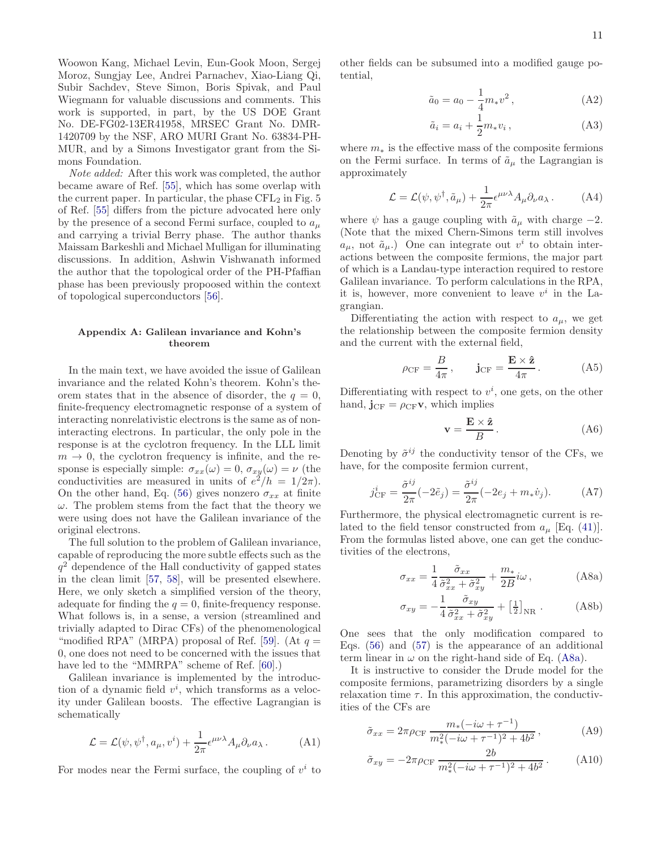Woowon Kang, Michael Levin, Eun-Gook Moon, Sergej Moroz, Sungjay Lee, Andrei Parnachev, Xiao-Liang Qi, Subir Sachdev, Steve Simon, Boris Spivak, and Paul Wiegmann for valuable discussions and comments. This work is supported, in part, by the US DOE Grant No. DE-FG02-13ER41958, MRSEC Grant No. DMR-1420709 by the NSF, ARO MURI Grant No. 63834-PH-MUR, and by a Simons Investigator grant from the Simons Foundation.

*Note added:* After this work was completed, the author became aware of Ref. [\[55\]](#page-12-22), which has some overlap with the current paper. In particular, the phase  $\text{CFL}_2$  in Fig. 5 of Ref. [\[55\]](#page-12-22) differs from the picture advocated here only by the presence of a second Fermi surface, coupled to  $a_{\mu}$ and carrying a trivial Berry phase. The author thanks Maissam Barkeshli and Michael Mulligan for illuminating discussions. In addition, Ashwin Vishwanath informed the author that the topological order of the PH-Pfaffian phase has been previously propoosed within the context of topological superconductors [\[56\]](#page-12-23).

### Appendix A: Galilean invariance and Kohn's theorem

In the main text, we have avoided the issue of Galilean invariance and the related Kohn's theorem. Kohn's theorem states that in the absence of disorder, the  $q = 0$ , finite-frequency electromagnetic response of a system of interacting nonrelativistic electrons is the same as of noninteracting electrons. In particular, the only pole in the response is at the cyclotron frequency. In the LLL limit  $m \rightarrow 0$ , the cyclotron frequency is infinite, and the response is especially simple:  $\sigma_{xx}(\omega) = 0$ ,  $\sigma_{xy}(\omega) = \nu$  (the conductivities are measured in units of  $e^{2}/h = 1/2\pi$ . On the other hand, Eq. [\(56\)](#page-8-2) gives nonzero  $\sigma_{xx}$  at finite  $\omega$ . The problem stems from the fact that the theory we were using does not have the Galilean invariance of the original electrons.

The full solution to the problem of Galilean invariance, capable of reproducing the more subtle effects such as the  $q<sup>2</sup>$  dependence of the Hall conductivity of gapped states in the clean limit [\[57,](#page-12-24) [58\]](#page-12-25), will be presented elsewhere. Here, we only sketch a simplified version of the theory, adequate for finding the  $q = 0$ , finite-frequency response. What follows is, in a sense, a version (streamlined and trivially adapted to Dirac CFs) of the phenomenological "modified RPA" (MRPA) proposal of Ref. [\[59](#page-12-26)]. (At  $q =$ 0, one does not need to be concerned with the issues that have led to the "MMRPA" scheme of Ref. [\[60\]](#page-12-27).)

Galilean invariance is implemented by the introduction of a dynamic field  $v^i$ , which transforms as a velocity under Galilean boosts. The effective Lagrangian is schematically

$$
\mathcal{L} = \mathcal{L}(\psi, \psi^{\dagger}, a_{\mu}, v^{i}) + \frac{1}{2\pi} \epsilon^{\mu\nu\lambda} A_{\mu} \partial_{\nu} a_{\lambda}.
$$
 (A1)

For modes near the Fermi surface, the coupling of  $v^i$  to

other fields can be subsumed into a modified gauge potential,

$$
\tilde{a}_0 = a_0 - \frac{1}{4} m_* v^2 , \qquad (A2)
$$

$$
\tilde{a}_i = a_i + \frac{1}{2} m_* v_i , \qquad (A3)
$$

where  $m_*$  is the effective mass of the composite fermions on the Fermi surface. In terms of  $\tilde{a}_{\mu}$  the Lagrangian is approximately

$$
\mathcal{L} = \mathcal{L}(\psi, \psi^{\dagger}, \tilde{a}_{\mu}) + \frac{1}{2\pi} \epsilon^{\mu\nu\lambda} A_{\mu} \partial_{\nu} a_{\lambda}.
$$
 (A4)

where  $\psi$  has a gauge coupling with  $\tilde{a}_{\mu}$  with charge  $-2$ . (Note that the mixed Chern-Simons term still involves  $a_{\mu}$ , not  $\tilde{a}_{\mu}$ .) One can integrate out  $v^{i}$  to obtain interactions between the composite fermions, the major part of which is a Landau-type interaction required to restore Galilean invariance. To perform calculations in the RPA, it is, however, more convenient to leave  $v^i$  in the Lagrangian.

Differentiating the action with respect to  $a_{\mu}$ , we get the relationship between the composite fermion density and the current with the external field,

$$
\rho_{\rm CF} = \frac{B}{4\pi}, \qquad \mathbf{j}_{\rm CF} = \frac{\mathbf{E} \times \hat{\mathbf{z}}}{4\pi}.
$$
 (A5)

Differentiating with respect to  $v^i$ , one gets, on the other hand,  $\mathbf{j}_{\text{CF}} = \rho_{\text{CF}} \mathbf{v}$ , which implies

$$
\mathbf{v} = \frac{\mathbf{E} \times \hat{\mathbf{z}}}{B}.
$$
 (A6)

Denoting by  $\tilde{\sigma}^{ij}$  the conductivity tensor of the CFs, we have, for the composite fermion current,

$$
j_{\rm CF}^i = \frac{\tilde{\sigma}^{ij}}{2\pi}(-2\tilde{e}_j) = \frac{\tilde{\sigma}^{ij}}{2\pi}(-2e_j + m_*\dot{v}_j). \tag{A7}
$$

Furthermore, the physical electromagnetic current is related to the field tensor constructed from  $a_{\mu}$  [Eq. [\(41\)](#page-6-0)]. From the formulas listed above, one can get the conductivities of the electrons,

<span id="page-10-1"></span><span id="page-10-0"></span>
$$
\sigma_{xx} = \frac{1}{4} \frac{\tilde{\sigma}_{xx}}{\tilde{\sigma}_{xx}^2 + \tilde{\sigma}_{xy}^2} + \frac{m_*}{2B} i\omega, \qquad (A8a)
$$

$$
\sigma_{xy} = -\frac{1}{4} \frac{\tilde{\sigma}_{xy}}{\tilde{\sigma}_{xx}^2 + \tilde{\sigma}_{xy}^2} + \left[\frac{1}{2}\right]_{\text{NR}} . \tag{A8b}
$$

One sees that the only modification compared to Eqs. [\(56\)](#page-8-2) and [\(57\)](#page-8-1) is the appearance of an additional term linear in  $\omega$  on the right-hand side of Eq. [\(A8a\)](#page-10-0).

It is instructive to consider the Drude model for the composite fermions, parametrizing disorders by a single relaxation time  $\tau$ . In this approximation, the conductivities of the CFs are

$$
\tilde{\sigma}_{xx} = 2\pi \rho_{\rm CF} \frac{m_*(-i\omega + \tau^{-1})}{m_*^2(-i\omega + \tau^{-1})^2 + 4b^2},\tag{A9}
$$

$$
\tilde{\sigma}_{xy} = -2\pi \rho_{CF} \frac{2b}{m_*^2(-i\omega + \tau^{-1})^2 + 4b^2}.
$$
 (A10)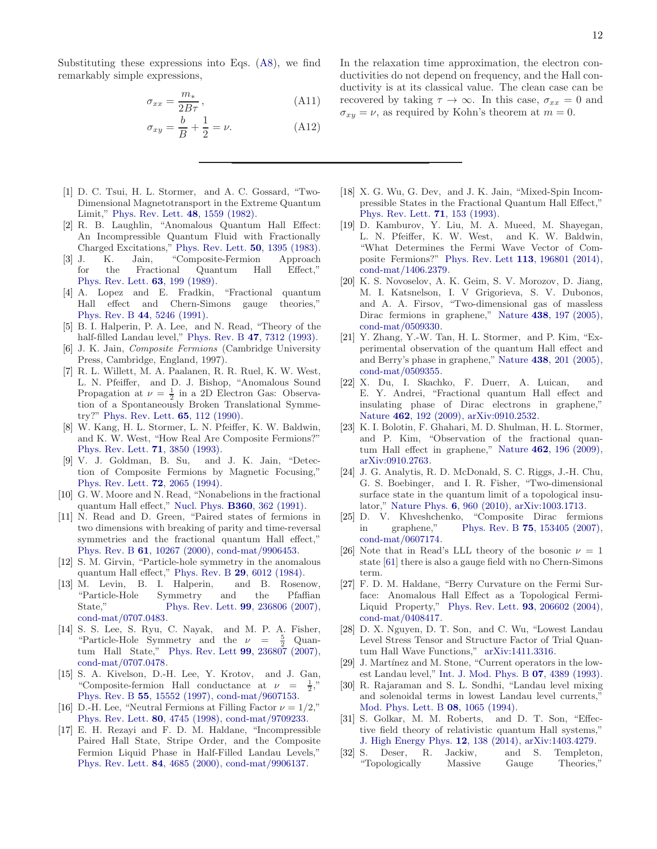Substituting these expressions into Eqs. [\(A8\)](#page-10-1), we find remarkably simple expressions,

$$
\sigma_{xx} = \frac{m_*}{2B\tau},\tag{A11}
$$

$$
\sigma_{xy} = \frac{b}{B} + \frac{1}{2} = \nu.
$$
 (A12)

- <span id="page-11-0"></span>[1] D. C. Tsui, H. L. Stormer, and A. C. Gossard, "Two-Dimensional Magnetotransport in the Extreme Quantum Limit," [Phys. Rev. Lett.](http://dx.doi.org/ 10.1103/PhysRevLett.48.1559) 48, 1559 (1982).
- <span id="page-11-1"></span>[2] R. B. Laughlin, "Anomalous Quantum Hall Effect: An Incompressible Quantum Fluid with Fractionally Charged Excitations," [Phys. Rev. Lett.](http://dx.doi.org/10.1103/PhysRevLett.50.1395) 50, 1395 (1983).
- <span id="page-11-2"></span>[3] J. K. Jain, "Composite-Fermion Approach for the Fractional Quantum Hall Effect," [Phys. Rev. Lett.](http://dx.doi.org/ 10.1103/PhysRevLett.63.199) 63, 199 (1989).
- [4] A. Lopez and E. Fradkin, "Fractional quantum Hall effect and Chern-Simons gauge theories," Phys. Rev. B 44[, 5246 \(1991\).](http://dx.doi.org/ 10.1103/PhysRevB.44.5246)
- <span id="page-11-3"></span>[5] B. I. Halperin, P. A. Lee, and N. Read, "Theory of the half-filled Landau level," Phys. Rev. B 47[, 7312 \(1993\).](http://dx.doi.org/10.1103/PhysRevB.47.7312)
- <span id="page-11-4"></span>[6] J. K. Jain, Composite Fermions (Cambridge University Press, Cambridge, England, 1997).
- <span id="page-11-5"></span>[7] R. L. Willett, M. A. Paalanen, R. R. Ruel, K. W. West, L. N. Pfeiffer, and D. J. Bishop, "Anomalous Sound Propagation at  $\nu = \frac{1}{2}$  in a 2D Electron Gas: Observation of a Spontaneously Broken Translational Symmetry?" [Phys. Rev. Lett.](http://dx.doi.org/10.1103/PhysRevLett.65.112) 65, 112 (1990).
- <span id="page-11-6"></span>[8] W. Kang, H. L. Stormer, L. N. Pfeiffer, K. W. Baldwin, and K. W. West, "How Real Are Composite Fermions?" [Phys. Rev. Lett.](http://dx.doi.org/10.1103/PhysRevLett.71.3850) 71, 3850 (1993).
- <span id="page-11-7"></span>[9] V. J. Goldman, B. Su, and J. K. Jain, "Detection of Composite Fermions by Magnetic Focusing," [Phys. Rev. Lett.](http://dx.doi.org/10.1103/PhysRevLett.72.2065) 72, 2065 (1994).
- <span id="page-11-8"></span>[10] G. W. Moore and N. Read, "Nonabelions in the fractional quantum Hall effect," Nucl. Phys. B360[, 362 \(1991\).](http://dx.doi.org/ 10.1016/0550-3213(91)90407-O)
- <span id="page-11-9"></span>[11] N. Read and D. Green, "Paired states of fermions in two dimensions with breaking of parity and time-reversal symmetries and the fractional quantum Hall effect," Phys. Rev. B 61[, 10267 \(2000\),](http://dx.doi.org/ 10.1103/PhysRevB.61.10267) [cond-mat/9906453.](http://arxiv.org/abs/cond-mat/9906453)
- <span id="page-11-10"></span>[12] S. M. Girvin, "Particle-hole symmetry in the anomalous quantum Hall effect," Phys. Rev. B 29[, 6012 \(1984\).](http://dx.doi.org/ 10.1103/PhysRevB.29.6012)
- <span id="page-11-11"></span>[13] M. Levin, B. I. Halperin, and B. Rosenow, "Particle-Hole Symmetry and the Pfaffian State." Phys. Rev. Lett. **99.** 236806 (2007). [Phys. Rev. Lett.](http://dx.doi.org/10.1103/PhysRevLett.99.236806) **99**, 236806 (2007), [cond-mat/0707.0483.](http://arxiv.org/abs/cond-mat/0707.0483)
- <span id="page-11-12"></span>[14] S. S. Lee, S. Ryu, C. Nayak, and M. P. A. Fisher, "Particle-Hole Symmetry and the  $\nu = \frac{5}{2}$  Quan-tum Hall State," [Phys. Rev. Lett](http://dx.doi.org/10.1103/PhysRevLett.99.236807) **99**, 236807 (2007), [cond-mat/0707.0478.](http://arxiv.org/abs/cond-mat/0707.0478)
- <span id="page-11-13"></span>[15] S. A. Kivelson, D.-H. Lee, Y. Krotov, and J. Gan, "Composite-fermion Hall conductance at  $\nu =$ 1 2 ," Phys. Rev. B 55[, 15552 \(1997\),](http://dx.doi.org/10.1103/PhysRevB.55.15552) [cond-mat/9607153.](http://arxiv.org/abs/cond-mat/9607153)
- <span id="page-11-14"></span>[16] D.-H. Lee, "Neutral Fermions at Filling Factor  $\nu = 1/2$ ," [Phys. Rev. Lett.](http://dx.doi.org/ 10.1103/PhysRevLett.80.4745) 80, 4745 (1998), [cond-mat/9709233.](http://arxiv.org/abs/cond-mat/9709233)
- <span id="page-11-15"></span>[17] E. H. Rezayi and F. D. M. Haldane, "Incompressible Paired Hall State, Stripe Order, and the Composite Fermion Liquid Phase in Half-Filled Landau Levels," [Phys. Rev. Lett.](http://dx.doi.org/10.1103/PhysRevLett.84.4685) 84, 4685 (2000), [cond-mat/9906137.](http://arxiv.org/abs/cond-mat/9906137)

In the relaxation time approximation, the electron conductivities do not depend on frequency, and the Hall conductivity is at its classical value. The clean case can be recovered by taking  $\tau \to \infty$ . In this case,  $\sigma_{xx} = 0$  and  $\sigma_{xy} = \nu$ , as required by Kohn's theorem at  $m = 0$ .

- <span id="page-11-16"></span>[18] X. G. Wu, G. Dev, and J. K. Jain, "Mixed-Spin Incompressible States in the Fractional Quantum Hall Effect," [Phys. Rev. Lett.](http://dx.doi.org/ 10.1103/PhysRevLett.71.153) 71, 153 (1993).
- <span id="page-11-17"></span>[19] D. Kamburov, Y. Liu, M. A. Mueed, M. Shayegan, L. N. Pfeiffer, K. W. West, and K. W. Baldwin, "What Determines the Fermi Wave Vector of Composite Fermions?" [Phys. Rev. Lett](http://dx.doi.org/10.1103/PhysRevLett.113.196801) 113, 196801 (2014), [cond-mat/1406.2379.](http://arxiv.org/abs/cond-mat/1406.2379)
- <span id="page-11-18"></span>[20] K. S. Novoselov, A. K. Geim, S. V. Morozov, D. Jiang, M. I. Katsnelson, I. V Grigorieva, S. V. Dubonos, and A. A. Firsov, "Two-dimensional gas of massless Dirac fermions in graphene," Nature 438[, 197 \(2005\),](http://dx.doi.org/10.1038/nature04233) [cond-mat/0509330.](http://arxiv.org/abs/cond-mat/0509330)
- <span id="page-11-19"></span>[21] Y. Zhang, Y.-W. Tan, H. L. Stormer, and P. Kim, "Experimental observation of the quantum Hall effect and and Berry's phase in graphene," Nature 438[, 201 \(2005\),](http://dx.doi.org/ 10.1038/nature04235) [cond-mat/0509355.](http://arxiv.org/abs/cond-mat/0509355)
- <span id="page-11-20"></span>[22] X. Du, I. Skachko, F. Duerr, A. Luican, and E. Y. Andrei, "Fractional quantum Hall effect and insulating phase of Dirac electrons in graphene," Nature 462[, 192 \(2009\),](http://dx.doi.org/ 10.1038/nature08522) [arXiv:0910.2532.](http://arxiv.org/abs/0910.2532)
- <span id="page-11-21"></span>[23] K. I. Bolotin, F. Ghahari, M. D. Shulman, H. L. Stormer, and P. Kim, "Observation of the fractional quantum Hall effect in graphene," Nature 462[, 196 \(2009\),](http://dx.doi.org/10.1038/nature08582) [arXiv:0910.2763.](http://arxiv.org/abs/0910.2763)
- <span id="page-11-22"></span>[24] J. G. Analytis, R. D. McDonald, S. C. Riggs, J.-H. Chu, G. S. Boebinger, and I. R. Fisher, "Two-dimensional surface state in the quantum limit of a topological insulator," [Nature Phys.](http://dx.doi.org/10.1038/nphys1861) 6, 960 (2010), [arXiv:1003.1713.](http://arxiv.org/abs/1003.1713)
- <span id="page-11-23"></span>[25] D. V. Khveshchenko, "Composite Dirac fermions in graphene," Phys. Rev. B 75[, 153405 \(2007\),](http://dx.doi.org/10.1103/PhysRevB.75.153405) [cond-mat/0607174.](http://arxiv.org/abs/cond-mat/0607174)
- <span id="page-11-24"></span>[26] Note that in Read's LLL theory of the bosonic  $\nu = 1$ state [\[61\]](#page-12-28) there is also a gauge field with no Chern-Simons term.
- <span id="page-11-25"></span>[27] F. D. M. Haldane, "Berry Curvature on the Fermi Surface: Anomalous Hall Effect as a Topological Fermi-Liquid Property," [Phys. Rev. Lett.](http://dx.doi.org/ 10.1103/PhysRevLett.93.206602) 93, 206602 (2004), [cond-mat/0408417.](http://arxiv.org/abs/cond-mat/0408417)
- <span id="page-11-26"></span>[28] D. X. Nguyen, D. T. Son, and C. Wu, "Lowest Landau Level Stress Tensor and Structure Factor of Trial Quantum Hall Wave Functions," [arXiv:1411.3316.](http://arxiv.org/abs/1411.3316)
- <span id="page-11-27"></span>[29] J. Martínez and M. Stone, "Current operators in the lowest Landau level," [Int. J. Mod. Phys. B](http://dx.doi.org/ 10.1142/S0217979293003723) 07, 4389 (1993).
- <span id="page-11-28"></span>[30] R. Rajaraman and S. L. Sondhi, "Landau level mixing and solenoidal terms in lowest Landau level currents," [Mod. Phys. Lett. B](http://dx.doi.org/10.1142/S0217984994001072) 08, 1065 (1994).
- <span id="page-11-29"></span>[31] S. Golkar, M. M. Roberts, and D. T. Son, "Effective field theory of relativistic quantum Hall systems," [J. High Energy Phys.](http://dx.doi.org/ 10.1007/JHEP12(2014)138) 12, 138 (2014), [arXiv:1403.4279.](http://arxiv.org/abs/1403.4279)
- <span id="page-11-30"></span>[32] S. Deser, R. Jackiw, and S. Templeton, "Topologically Massive Gauge Theories,"